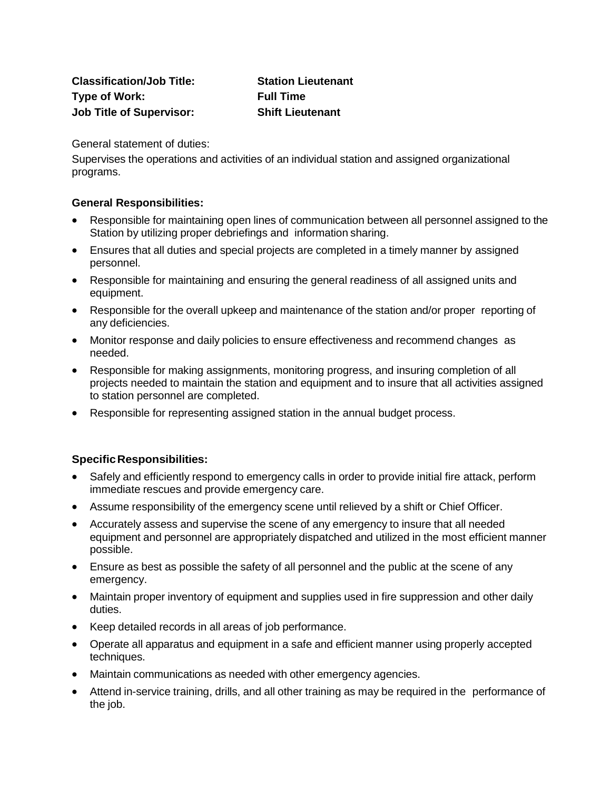**Classification/Job Title: Station Lieutenant Type of Work: Full Time Job Title of Supervisor: Shift Lieutenant**

General statement of duties:

Supervises the operations and activities of an individual station and assigned organizational programs.

## **General Responsibilities:**

- Responsible for maintaining open lines of communication between all personnel assigned to the Station by utilizing proper debriefings and information sharing.
- Ensures that all duties and special projects are completed in a timely manner by assigned personnel.
- Responsible for maintaining and ensuring the general readiness of all assigned units and equipment.
- Responsible for the overall upkeep and maintenance of the station and/or proper reporting of any deficiencies.
- Monitor response and daily policies to ensure effectiveness and recommend changes as needed.
- Responsible for making assignments, monitoring progress, and insuring completion of all projects needed to maintain the station and equipment and to insure that all activities assigned to station personnel are completed.
- Responsible for representing assigned station in the annual budget process.

## **SpecificResponsibilities:**

- Safely and efficiently respond to emergency calls in order to provide initial fire attack, perform immediate rescues and provide emergency care.
- Assume responsibility of the emergency scene until relieved by a shift or Chief Officer.
- Accurately assess and supervise the scene of any emergency to insure that all needed equipment and personnel are appropriately dispatched and utilized in the most efficient manner possible.
- Ensure as best as possible the safety of all personnel and the public at the scene of any emergency.
- Maintain proper inventory of equipment and supplies used in fire suppression and other daily duties.
- Keep detailed records in all areas of job performance.
- Operate all apparatus and equipment in a safe and efficient manner using properly accepted techniques.
- Maintain communications as needed with other emergency agencies.
- Attend in-service training, drills, and all other training as may be required in the performance of the job.